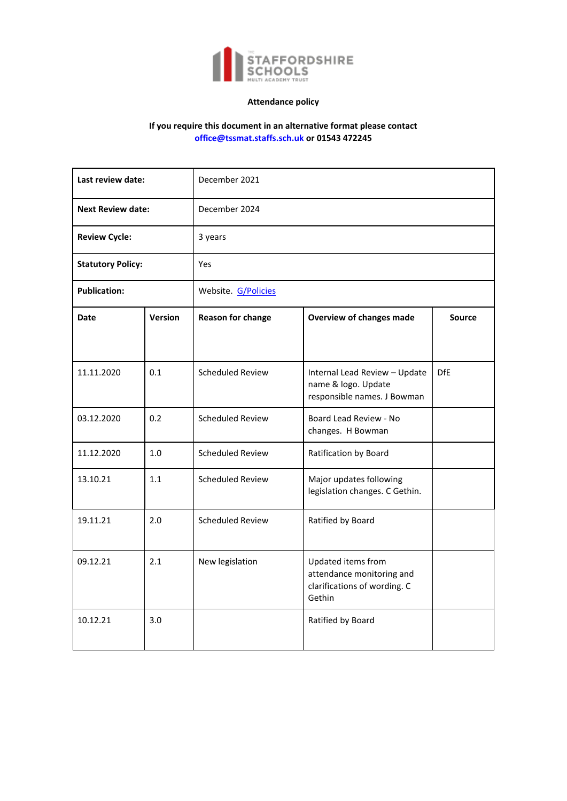

# **Attendance policy**

# **If you require this document in an alternative format please contact office@tssmat.staffs.sch.uk or 01543 472245**

| Last review date:        |                | December 2021            |                                                                                           |               |
|--------------------------|----------------|--------------------------|-------------------------------------------------------------------------------------------|---------------|
| <b>Next Review date:</b> |                | December 2024            |                                                                                           |               |
| <b>Review Cycle:</b>     |                | 3 years                  |                                                                                           |               |
| <b>Statutory Policy:</b> |                | Yes                      |                                                                                           |               |
| <b>Publication:</b>      |                | Website. G/Policies      |                                                                                           |               |
| <b>Date</b>              | <b>Version</b> | <b>Reason for change</b> | <b>Overview of changes made</b>                                                           | <b>Source</b> |
|                          |                |                          |                                                                                           |               |
| 11.11.2020               | 0.1            | <b>Scheduled Review</b>  | Internal Lead Review - Update<br>name & logo. Update<br>responsible names. J Bowman       | <b>DfE</b>    |
| 03.12.2020               | 0.2            | <b>Scheduled Review</b>  | Board Lead Review - No<br>changes. H Bowman                                               |               |
| 11.12.2020               | 1.0            | <b>Scheduled Review</b>  | Ratification by Board                                                                     |               |
| 13.10.21                 | 1.1            | <b>Scheduled Review</b>  | Major updates following<br>legislation changes. C Gethin.                                 |               |
| 19.11.21                 | 2.0            | <b>Scheduled Review</b>  | Ratified by Board                                                                         |               |
| 09.12.21                 | 2.1            | New legislation          | Updated items from<br>attendance monitoring and<br>clarifications of wording. C<br>Gethin |               |
| 10.12.21                 | 3.0            |                          | Ratified by Board                                                                         |               |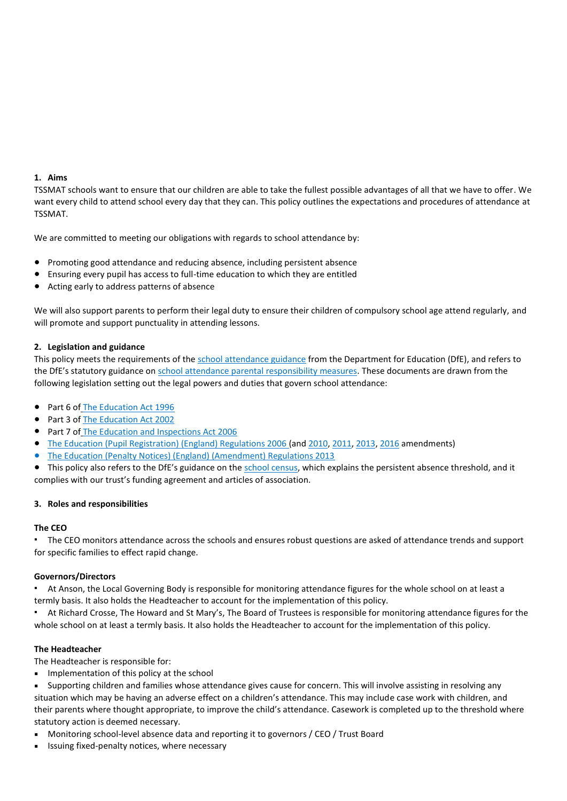#### **1. Aims**

TSSMAT schools want to ensure that our children are able to take the fullest possible advantages of all that we have to offer. We want every child to attend school every day that they can. This policy outlines the expectations and procedures of attendance at TSSMAT.

We are committed to meeting our obligations with regards to school attendance by:

- Promoting good attendance and reducing absence, including persistent absence
- Ensuring every pupil has access to full-time education to which they are entitled
- Acting early to address patterns of absence

We will also support parents to perform their legal duty to ensure their children of compulsory school age attend regularly, and will promote and support punctuality in attending lessons.

# **2. Legislation and guidance**

This policy meets the requirements of the [school attendance guidance](https://www.gov.uk/government/publications/school-attendance) from the Department for Education (DfE), and refers to the DfE's statutory guidance on [school attendance parental responsibility measures.](https://www.gov.uk/government/publications/parental-responsibility-measures-for-behaviour-and-attendance) These documents are drawn from the following legislation setting out the legal powers and duties that govern school attendance:

- Part 6 of [The Education Act 1996](https://www.legislation.gov.uk/ukpga/1996/56/part/VI/chapter/II)
- Part 3 of The [Education Act 2002](http://www.legislation.gov.uk/ukpga/2002/32/part/3/chapter/3)
- Part 7 of [The Education and Inspections Act 2006](http://www.legislation.gov.uk/ukpga/2006/40/part/7/chapter/2/crossheading/school-attendance)
- [The Education \(Pupil Registration\) \(England\) Regulations 2006](http://www.legislation.gov.uk/uksi/2006/1751/contents/made) (and [2010,](https://www.legislation.gov.uk/uksi/2010/1725/regulation/2/made) [2011,](https://www.legislation.gov.uk/uksi/2011/1625/made) [2013,](https://www.legislation.gov.uk/uksi/2013/756/made) [2016](https://www.legislation.gov.uk/uksi/2016/792/made/data.html) amendments)
- [The Education \(Penalty Notices\) \(England\) \(Amendment\) Regulations 2013](https://www.legislation.gov.uk/uksi/2013/757/regulation/2/made)
- This policy also refers to the DfE's guidance on the [school census,](https://www.gov.uk/guidance/complete-the-school-census) which explains the persistent absence threshold, and it complies with our trust's funding agreement and articles of association.

## **3. Roles and responsibilities**

## **The CEO**

The CEO monitors attendance across the schools and ensures robust questions are asked of attendance trends and support for specific families to effect rapid change.

## **Governors/Directors**

▪ At Anson, the Local Governing Body is responsible for monitoring attendance figures for the whole school on at least a termly basis. It also holds the Headteacher to account for the implementation of this policy.

At Richard Crosse, The Howard and St Mary's, The Board of Trustees is responsible for monitoring attendance figures for the whole school on at least a termly basis. It also holds the Headteacher to account for the implementation of this policy.

## **The Headteacher**

The Headteacher is responsible for:

■ Implementation of this policy at the school

Supporting children and families whose attendance gives cause for concern. This will involve assisting in resolving any situation which may be having an adverse effect on a children's attendance. This may include case work with children, and their parents where thought appropriate, to improve the child's attendance. Casework is completed up to the threshold where statutory action is deemed necessary.

- Monitoring school-level absence data and reporting it to governors / CEO / Trust Board
- Issuing fixed-penalty notices, where necessary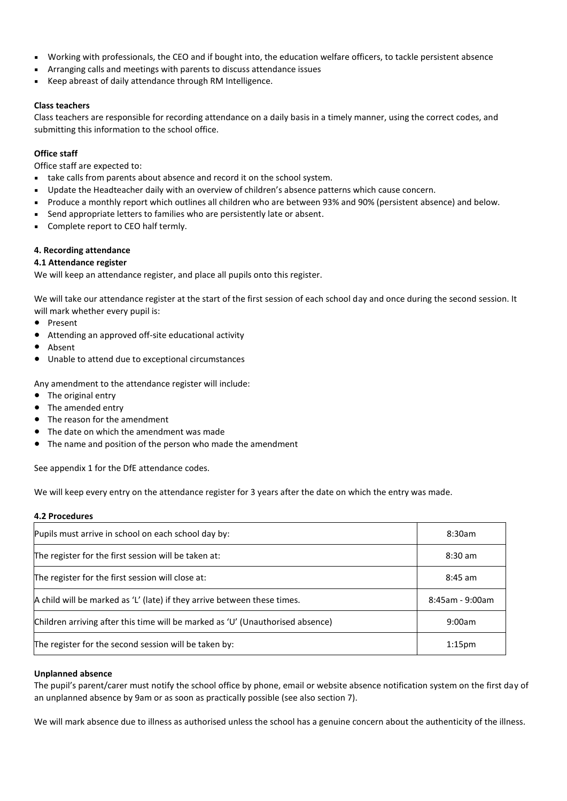- Working with professionals, the CEO and if bought into, the education welfare officers, to tackle persistent absence
- Arranging calls and meetings with parents to discuss attendance issues
- Keep abreast of daily attendance through RM Intelligence.

## **Class teachers**

Class teachers are responsible for recording attendance on a daily basis in a timely manner, using the correct codes, and submitting this information to the school office.

# **Office staff**

Office staff are expected to:

- take calls from parents about absence and record it on the school system.
- Update the Headteacher daily with an overview of children's absence patterns which cause concern.
- Produce a monthly report which outlines all children who are between 93% and 90% (persistent absence) and below.
- Send appropriate letters to families who are persistently late or absent.
- Complete report to CEO half termly.

# **4. Recording attendance**

## **4.1 Attendance register**

We will keep an attendance register, and place all pupils onto this register.

We will take our attendance register at the start of the first session of each school day and once during the second session. It will mark whether every pupil is:

- Present
- Attending an approved off-site educational activity
- Absent
- Unable to attend due to exceptional circumstances

Any amendment to the attendance register will include:

- The original entry
- The amended entry
- The reason for the amendment
- The date on which the amendment was made
- The name and position of the person who made the amendment

See appendix 1 for the DfE attendance codes.

We will keep every entry on the attendance register for 3 years after the date on which the entry was made.

## **4.2 Procedures**

| Pupils must arrive in school on each school day by:                            | 8:30am             |
|--------------------------------------------------------------------------------|--------------------|
| The register for the first session will be taken at:                           | $8:30$ am          |
| The register for the first session will close at:                              | $8:45$ am          |
| A child will be marked as 'L' (late) if they arrive between these times.       | 8:45am - 9:00am    |
| Children arriving after this time will be marked as 'U' (Unauthorised absence) | 9:00am             |
| The register for the second session will be taken by:                          | 1:15 <sub>pm</sub> |

## **Unplanned absence**

The pupil's parent/carer must notify the school office by phone, email or website absence notification system on the first day of an unplanned absence by 9am or as soon as practically possible (see also section 7).

We will mark absence due to illness as authorised unless the school has a genuine concern about the authenticity of the illness.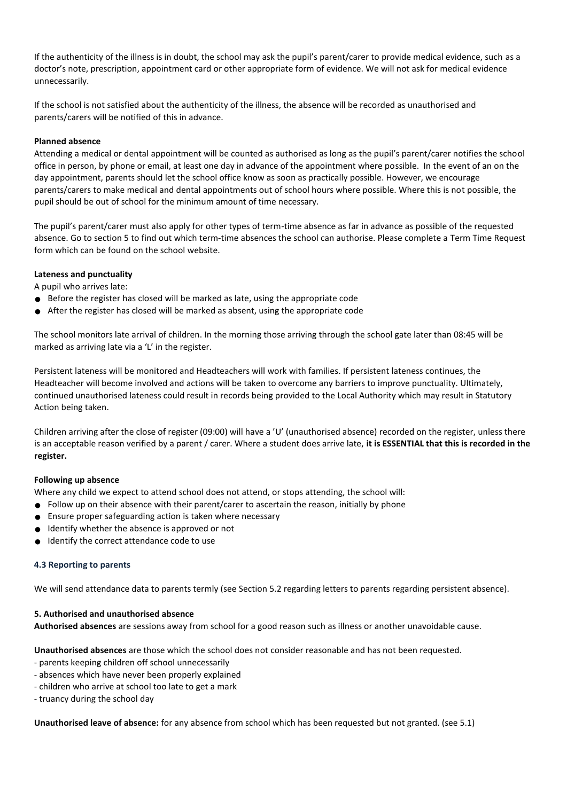If the authenticity of the illness is in doubt, the school may ask the pupil's parent/carer to provide medical evidence, such as a doctor's note, prescription, appointment card or other appropriate form of evidence. We will not ask for medical evidence unnecessarily.

If the school is not satisfied about the authenticity of the illness, the absence will be recorded as unauthorised and parents/carers will be notified of this in advance.

## **Planned absence**

Attending a medical or dental appointment will be counted as authorised as long as the pupil's parent/carer notifies the school office in person, by phone or email, at least one day in advance of the appointment where possible. In the event of an on the day appointment, parents should let the school office know as soon as practically possible. However, we encourage parents/carers to make medical and dental appointments out of school hours where possible. Where this is not possible, the pupil should be out of school for the minimum amount of time necessary.

The pupil's parent/carer must also apply for other types of term-time absence as far in advance as possible of the requested absence. Go to section 5 to find out which term-time absences the school can authorise. Please complete a Term Time Request form which can be found on the school website.

# **Lateness and punctuality**

A pupil who arrives late:

- $\bullet$  Before the register has closed will be marked as late, using the appropriate code
- After the register has closed will be marked as absent, using the appropriate code

The school monitors late arrival of children. In the morning those arriving through the school gate later than 08:45 will be marked as arriving late via a 'L' in the register.

Persistent lateness will be monitored and Headteachers will work with families. If persistent lateness continues, the Headteacher will become involved and actions will be taken to overcome any barriers to improve punctuality. Ultimately, continued unauthorised lateness could result in records being provided to the Local Authority which may result in Statutory Action being taken.

Children arriving after the close of register (09:00) will have a 'U' (unauthorised absence) recorded on the register, unless there is an acceptable reason verified by a parent / carer. Where a student does arrive late, **it is ESSENTIAL that this is recorded in the register.**

## **Following up absence**

Where any child we expect to attend school does not attend, or stops attending, the school will:

- Follow up on their absence with their parent/carer to ascertain the reason, initially by phone
- Ensure proper safeguarding action is taken where necessary
- Identify whether the absence is approved or not
- Identify the correct attendance code to use

## **4.3 Reporting to parents**

We will send attendance data to parents termly (see Section 5.2 regarding letters to parents regarding persistent absence).

## **5. Authorised and unauthorised absence**

**Authorised absences** are sessions away from school for a good reason such as illness or another unavoidable cause.

**Unauthorised absences** are those which the school does not consider reasonable and has not been requested.

- parents keeping children off school unnecessarily
- absences which have never been properly explained
- children who arrive at school too late to get a mark
- truancy during the school day

**Unauthorised leave of absence:** for any absence from school which has been requested but not granted. (see 5.1)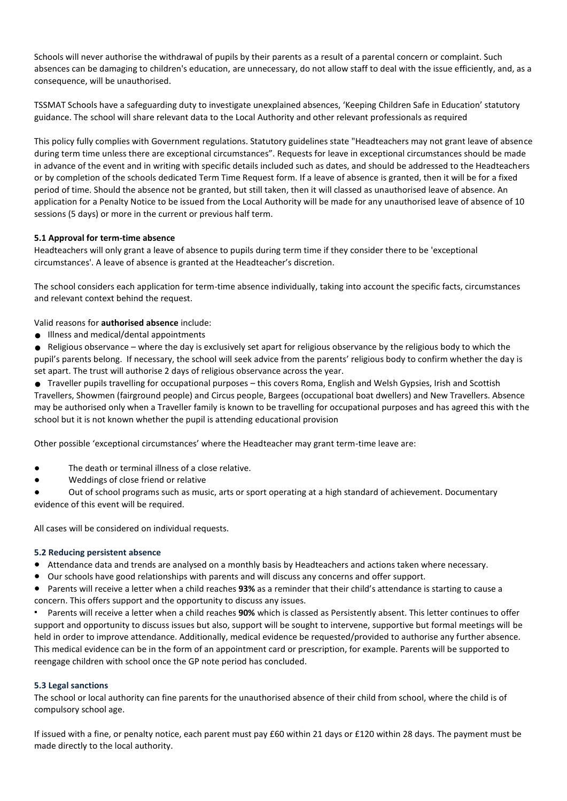Schools will never authorise the withdrawal of pupils by their parents as a result of a parental concern or complaint. Such absences can be damaging to children's education, are unnecessary, do not allow staff to deal with the issue efficiently, and, as a consequence, will be unauthorised.

TSSMAT Schools have a safeguarding duty to investigate unexplained absences, 'Keeping Children Safe in Education' statutory guidance. The school will share relevant data to the Local Authority and other relevant professionals as required

This policy fully complies with Government regulations. Statutory guidelines state "Headteachers may not grant leave of absence during term time unless there are exceptional circumstances". Requests for leave in exceptional circumstances should be made in advance of the event and in writing with specific details included such as dates, and should be addressed to the Headteachers or by completion of the schools dedicated Term Time Request form. If a leave of absence is granted, then it will be for a fixed period of time. Should the absence not be granted, but still taken, then it will classed as unauthorised leave of absence. An application for a Penalty Notice to be issued from the Local Authority will be made for any unauthorised leave of absence of 10 sessions (5 days) or more in the current or previous half term.

# **5.1 Approval for term-time absence**

Headteachers will only grant a leave of absence to pupils during term time if they consider there to be 'exceptional circumstances'. A leave of absence is granted at the Headteacher's discretion.

The school considers each application for term-time absence individually, taking into account the specific facts, circumstances and relevant context behind the request.

Valid reasons for **authorised absence** include:

● Illness and medical/dental appointments

● Religious observance – where the day is exclusively set apart for religious observance by the religious body to which the pupil's parents belong. If necessary, the school will seek advice from the parents' religious body to confirm whether the day is set apart. The trust will authorise 2 days of religious observance across the year.

● Traveller pupils travelling for occupational purposes – this covers Roma, English and Welsh Gypsies, Irish and Scottish Travellers, Showmen (fairground people) and Circus people, Bargees (occupational boat dwellers) and New Travellers. Absence may be authorised only when a Traveller family is known to be travelling for occupational purposes and has agreed this with the school but it is not known whether the pupil is attending educational provision

Other possible 'exceptional circumstances' where the Headteacher may grant term-time leave are:

- The death or terminal illness of a close relative.
- Weddings of close friend or relative

Out of school programs such as music, arts or sport operating at a high standard of achievement. Documentary evidence of this event will be required.

All cases will be considered on individual requests.

## **5.2 Reducing persistent absence**

- Attendance data and trends are analysed on a monthly basis by Headteachers and actions taken where necessary.
- Our schools have good relationships with parents and will discuss any concerns and offer support.
- Parents will receive a letter when a child reaches **93%** as a reminder that their child's attendance is starting to cause a concern. This offers support and the opportunity to discuss any issues.

Parents will receive a letter when a child reaches 90% which is classed as Persistently absent. This letter continues to offer support and opportunity to discuss issues but also, support will be sought to intervene, supportive but formal meetings will be held in order to improve attendance. Additionally, medical evidence be requested/provided to authorise any further absence. This medical evidence can be in the form of an appointment card or prescription, for example. Parents will be supported to reengage children with school once the GP note period has concluded.

## **5.3 Legal sanctions**

The school or local authority can fine parents for the unauthorised absence of their child from school, where the child is of compulsory school age.

If issued with a fine, or penalty notice, each parent must pay £60 within 21 days or £120 within 28 days. The payment must be made directly to the local authority.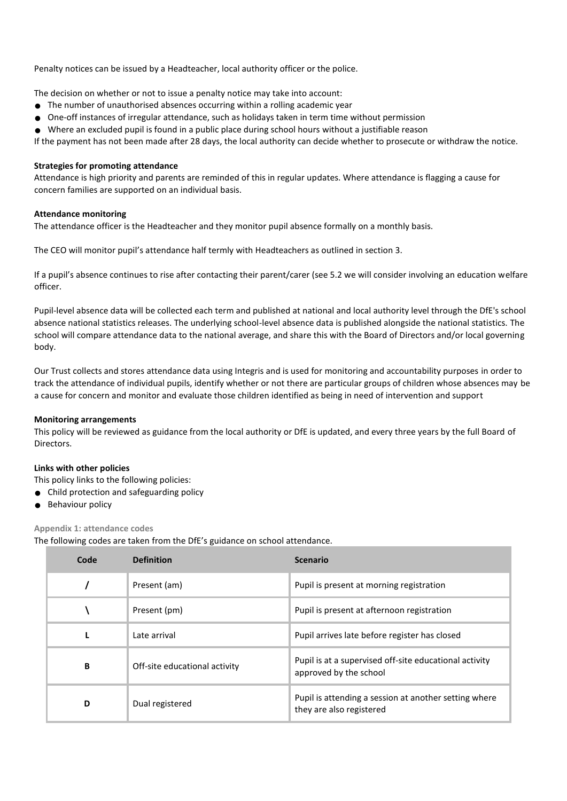Penalty notices can be issued by a Headteacher, local authority officer or the police.

The decision on whether or not to issue a penalty notice may take into account:

- The number of unauthorised absences occurring within a rolling academic year
- One-off instances of irregular attendance, such as holidays taken in term time without permission
- Where an excluded pupil is found in a public place during school hours without a justifiable reason

If the payment has not been made after 28 days, the local authority can decide whether to prosecute or withdraw the notice.

## **Strategies for promoting attendance**

Attendance is high priority and parents are reminded of this in regular updates. Where attendance is flagging a cause for concern families are supported on an individual basis.

## **Attendance monitoring**

The attendance officer is the Headteacher and they monitor pupil absence formally on a monthly basis.

The CEO will monitor pupil's attendance half termly with Headteachers as outlined in section 3.

If a pupil's absence continues to rise after contacting their parent/carer (see 5.2 we will consider involving an education welfare officer.

Pupil-level absence data will be collected each term and published at national and local authority level through the DfE's school absence national statistics releases. The underlying school-level absence data is published alongside the national statistics. The school will compare attendance data to the national average, and share this with the Board of Directors and/or local governing body.

Our Trust collects and stores attendance data using Integris and is used for monitoring and accountability purposes in order to track the attendance of individual pupils, identify whether or not there are particular groups of children whose absences may be a cause for concern and monitor and evaluate those children identified as being in need of intervention and support

## **Monitoring arrangements**

This policy will be reviewed as guidance from the local authority or DfE is updated, and every three years by the full Board of Directors.

## **Links with other policies**

This policy links to the following policies:

- Child protection and safeguarding policy
- Behaviour policy

## **Appendix 1: attendance codes**

The following codes are taken from the DfE's guidance on school attendance.

| Code | <b>Definition</b>             | <b>Scenario</b>                                                                   |
|------|-------------------------------|-----------------------------------------------------------------------------------|
|      | Present (am)                  | Pupil is present at morning registration                                          |
|      | Present (pm)                  | Pupil is present at afternoon registration                                        |
|      | Late arrival                  | Pupil arrives late before register has closed                                     |
| B    | Off-site educational activity | Pupil is at a supervised off-site educational activity<br>approved by the school  |
| D    | Dual registered               | Pupil is attending a session at another setting where<br>they are also registered |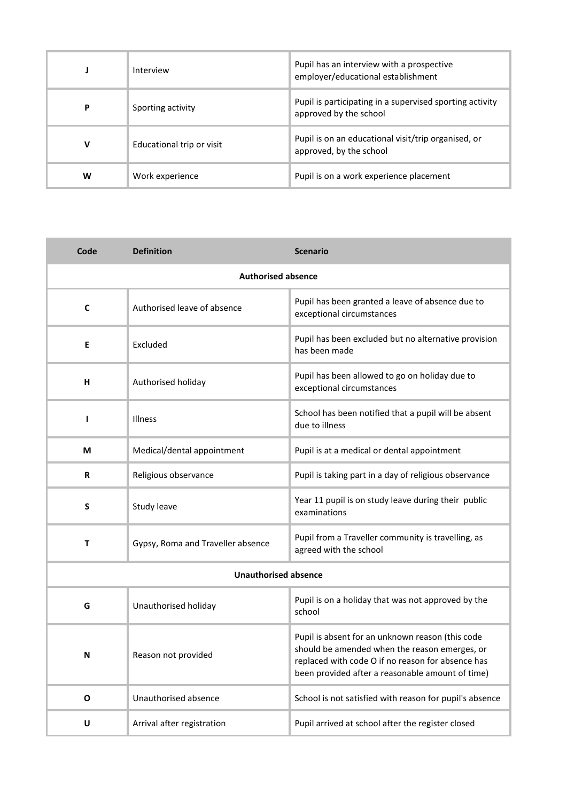|   | Interview                 | Pupil has an interview with a prospective<br>employer/educational establishment    |  |
|---|---------------------------|------------------------------------------------------------------------------------|--|
| P | Sporting activity         | Pupil is participating in a supervised sporting activity<br>approved by the school |  |
| v | Educational trip or visit | Pupil is on an educational visit/trip organised, or<br>approved, by the school     |  |
| W | Work experience           | Pupil is on a work experience placement                                            |  |

| Code                      | <b>Definition</b>                 | <b>Scenario</b>                                                                                                                                                                                            |  |
|---------------------------|-----------------------------------|------------------------------------------------------------------------------------------------------------------------------------------------------------------------------------------------------------|--|
| <b>Authorised absence</b> |                                   |                                                                                                                                                                                                            |  |
| C                         | Authorised leave of absence       | Pupil has been granted a leave of absence due to<br>exceptional circumstances                                                                                                                              |  |
| E                         | Excluded                          | Pupil has been excluded but no alternative provision<br>has been made                                                                                                                                      |  |
| H                         | Authorised holiday                | Pupil has been allowed to go on holiday due to<br>exceptional circumstances                                                                                                                                |  |
| H                         | Illness                           | School has been notified that a pupil will be absent<br>due to illness                                                                                                                                     |  |
| M                         | Medical/dental appointment        | Pupil is at a medical or dental appointment                                                                                                                                                                |  |
| $\mathbf R$               | Religious observance              | Pupil is taking part in a day of religious observance                                                                                                                                                      |  |
| S                         | Study leave                       | Year 11 pupil is on study leave during their public<br>examinations                                                                                                                                        |  |
| Τ                         | Gypsy, Roma and Traveller absence | Pupil from a Traveller community is travelling, as<br>agreed with the school                                                                                                                               |  |
|                           | <b>Unauthorised absence</b>       |                                                                                                                                                                                                            |  |
| G                         | Unauthorised holiday              | Pupil is on a holiday that was not approved by the<br>school                                                                                                                                               |  |
| N                         | Reason not provided               | Pupil is absent for an unknown reason (this code<br>should be amended when the reason emerges, or<br>replaced with code O if no reason for absence has<br>been provided after a reasonable amount of time) |  |
| O                         | Unauthorised absence              | School is not satisfied with reason for pupil's absence                                                                                                                                                    |  |
| U                         | Arrival after registration        | Pupil arrived at school after the register closed                                                                                                                                                          |  |